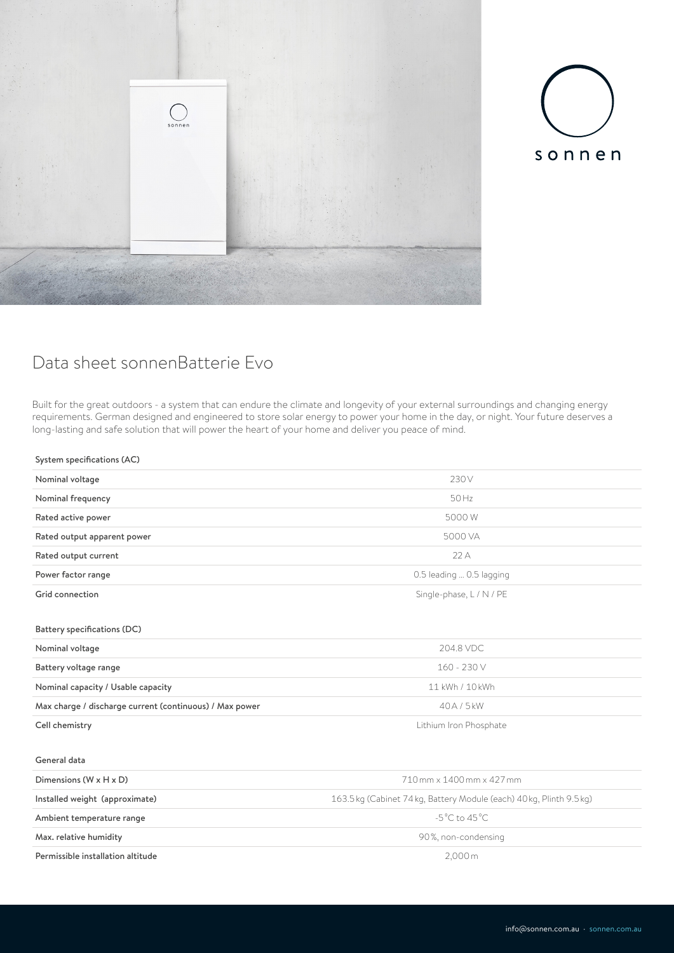



## Data sheet sonnenBatterie Evo

Built for the great outdoors - a system that can endure the climate and longevity of your external surroundings and changing energy requirements. German designed and engineered to store solar energy to power your home in the day, or night. Your future deserves a long-lasting and safe solution that will power the heart of your home and deliver you peace of mind.

## System specifications (AC)

| Nominal voltage                                         | 230V                                                                 |
|---------------------------------------------------------|----------------------------------------------------------------------|
| Nominal frequency                                       | 50 Hz                                                                |
| Rated active power                                      | 5000W                                                                |
| Rated output apparent power                             | 5000 VA                                                              |
| Rated output current                                    | 22A                                                                  |
| Power factor range                                      | 0.5 leading  0.5 lagging                                             |
| Grid connection                                         | Single-phase, L / N / PE                                             |
|                                                         |                                                                      |
| Battery specifications (DC)                             |                                                                      |
| Nominal voltage                                         | 204.8 VDC                                                            |
| Battery voltage range                                   | 160 - 230 V                                                          |
| Nominal capacity / Usable capacity                      | 11 kWh / 10 kWh                                                      |
| Max charge / discharge current (continuous) / Max power | 40A/5kW                                                              |
| Cell chemistry                                          | Lithium Iron Phosphate                                               |
|                                                         |                                                                      |
| General data                                            |                                                                      |
| Dimensions $(W \times H \times D)$                      | 710 mm x 1400 mm x 427 mm                                            |
| Installed weight (approximate)                          | 163.5 kg (Cabinet 74 kg, Battery Module (each) 40 kg, Plinth 9.5 kg) |
| Ambient temperature range                               | $-5^{\circ}$ C to 45 $^{\circ}$ C                                    |
| Max. relative humidity                                  | 90%, non-condensing                                                  |
| Permissible installation altitude                       | 2,000m                                                               |